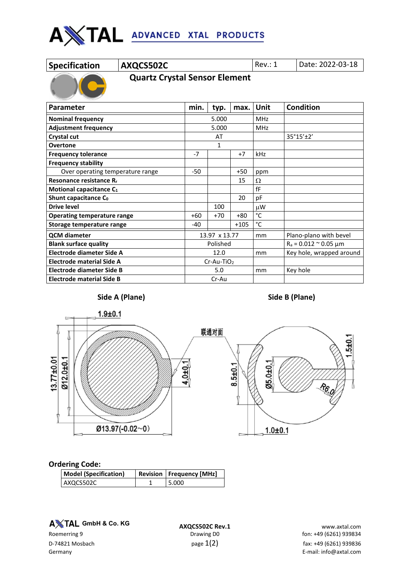

|  | <b>Specification</b> |  |  |
|--|----------------------|--|--|
|  |                      |  |  |

**AXQCS502C** Rev.: 1 Date: 2022-03-18

 **Quartz Crystal Sensor Element**

| Parameter                           | min. | typ.          | max.   | Unit       | <b>Condition</b>                |  |
|-------------------------------------|------|---------------|--------|------------|---------------------------------|--|
| <b>Nominal frequency</b>            |      | 5.000         |        | <b>MHz</b> |                                 |  |
| <b>Adjustment frequency</b>         |      | 5.000         |        | <b>MHz</b> |                                 |  |
| Crystal cut                         |      | AT            |        |            | 35°15'±2'                       |  |
| <b>Overtone</b>                     |      | 1             |        |            |                                 |  |
| <b>Frequency tolerance</b>          | $-7$ |               | $+7$   | kHz        |                                 |  |
| <b>Frequency stability</b>          |      |               |        |            |                                 |  |
| Over operating temperature range    |      |               | $+50$  | ppm        |                                 |  |
| Resonance resistance R <sub>r</sub> |      |               | 15     | Ω          |                                 |  |
| Motional capacitance C <sub>1</sub> |      |               |        | fF         |                                 |  |
| Shunt capacitance C <sub>0</sub>    |      |               | 20     | pF         |                                 |  |
| <b>Drive level</b>                  |      | 100           |        | μW         |                                 |  |
| <b>Operating temperature range</b>  | +60  | $+70$         | $+80$  | °C         |                                 |  |
| Storage temperature range           |      |               | $+105$ | °C         |                                 |  |
| <b>QCM</b> diameter                 |      | 13.97 x 13.77 |        |            | Plano-plano with bevel          |  |
| <b>Blank surface quality</b>        |      | Polished      |        |            | $R_a = 0.012$ $\approx$ 0.05 µm |  |
| Electrode diameter Side A           |      | 12.0          |        | mm         | Key hole, wrapped around        |  |
| <b>Electrode material Side A</b>    |      | $Cr-Au-TiO2$  |        |            |                                 |  |
| Electrode diameter Side B           |      | 5.0           |        | mm         | Key hole                        |  |
| <b>Electrode material Side B</b>    |      | Cr-Au         |        |            |                                 |  |



## **Side A (Plane) Side B (Plane)**

**Ordering Code:**

| <b>Model (Specification)</b> | <b>Revision   Frequency [MHz]</b> |  |  |
|------------------------------|-----------------------------------|--|--|
| AXQCS502C                    | 5.000                             |  |  |

**A** $X$ TAL GmbH & Co. KG

**A TAL GmbH & Co. KG**<br>**AXQCS502C Rev.1** www.axtal.com **www.axtal.com**<br>fon: +49 (6261) 939834 fon: +49 (6261) fon: +49 (6261) 939834 D-74821 Mosbach  $p$ age  $1(2)$   $p$ age  $1(2)$  fax: +49 (6261) 939836 Germany E-mail: info@axtal.com

 $\frac{6}{3}$ 

96